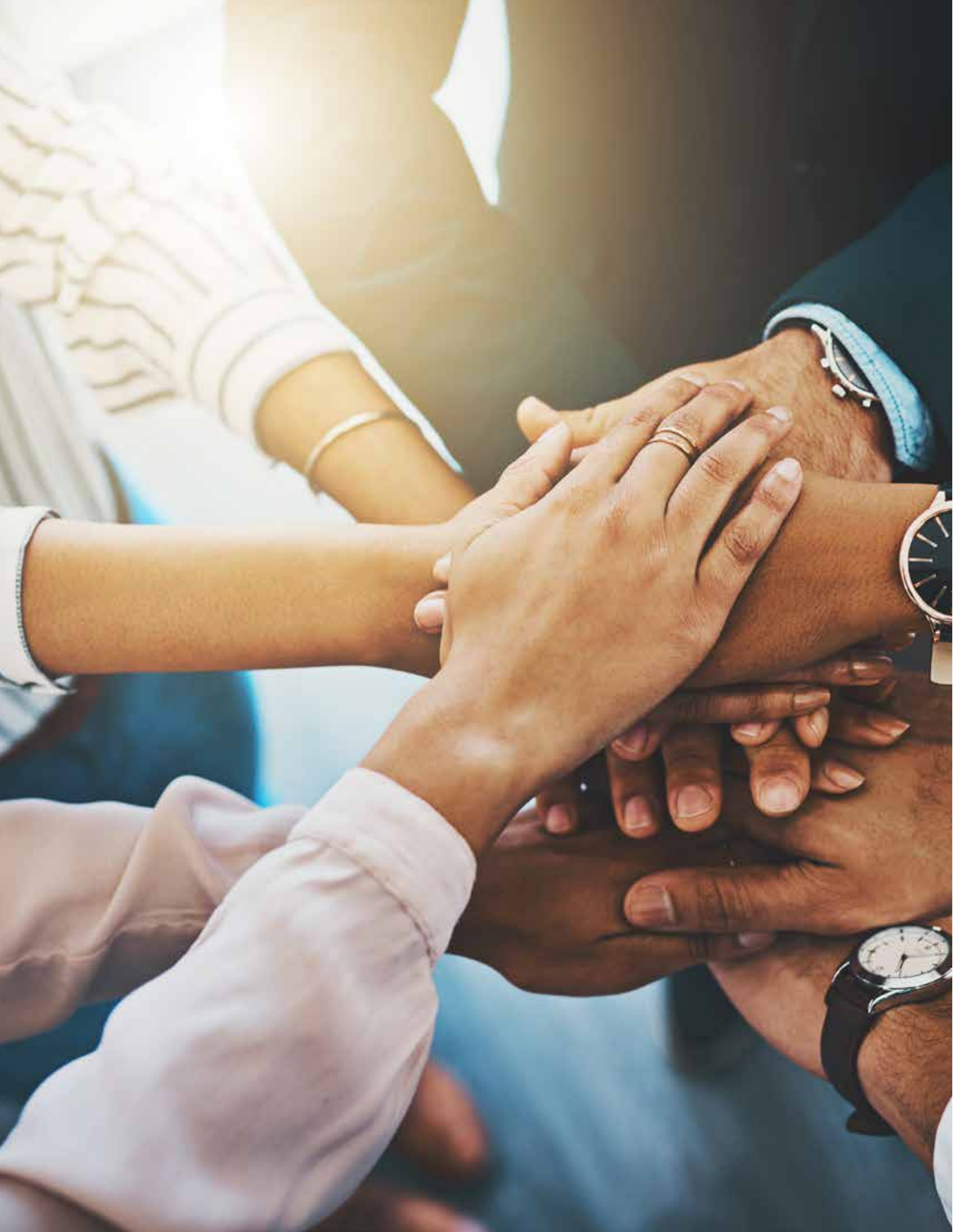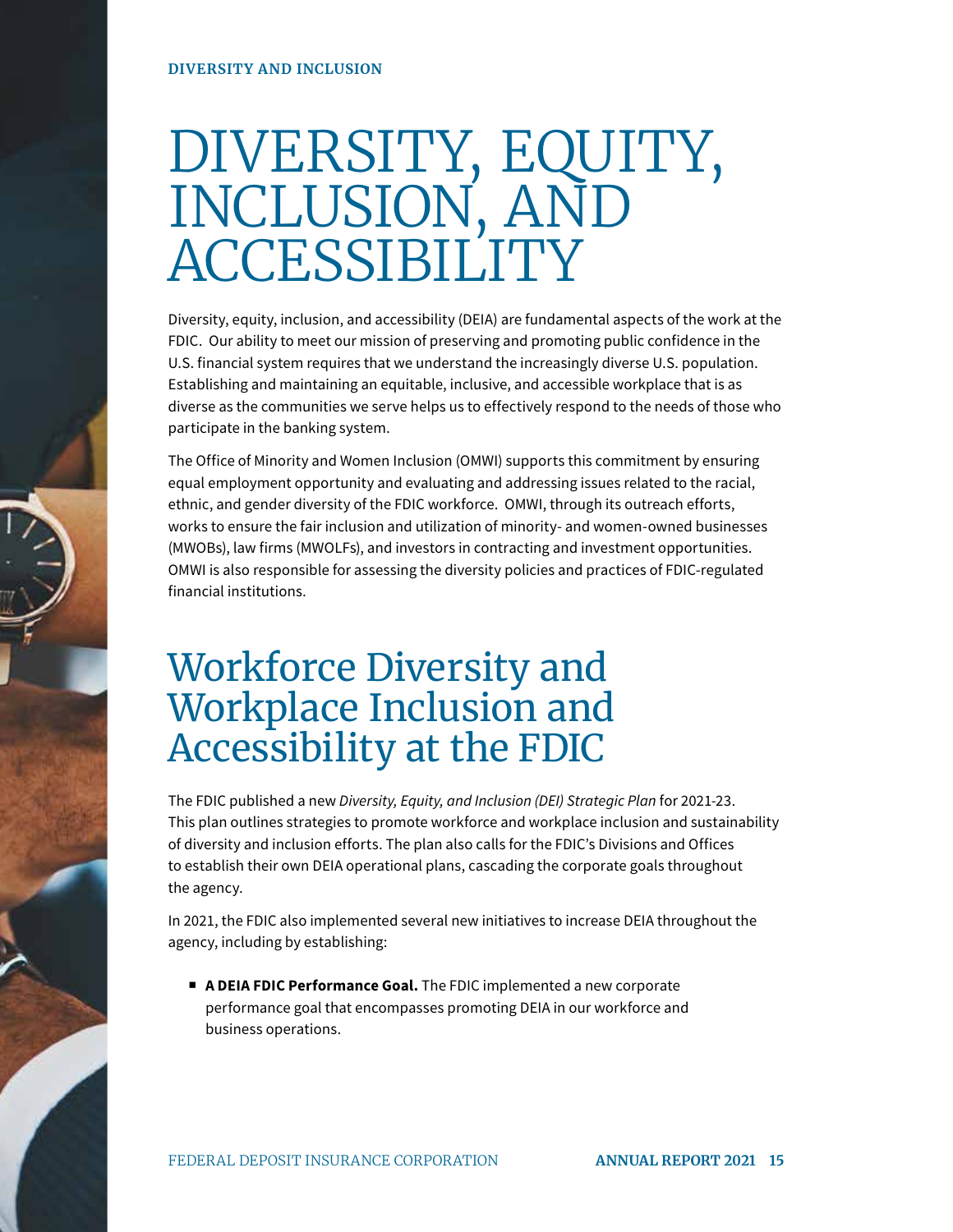## DIVERSITY, EQUITY, INCLUSION, AND ACCESSIBILITY

Diversity, equity, inclusion, and accessibility (DEIA) are fundamental aspects of the work at the FDIC. Our ability to meet our mission of preserving and promoting public confidence in the U.S. financial system requires that we understand the increasingly diverse U.S. population. Establishing and maintaining an equitable, inclusive, and accessible workplace that is as diverse as the communities we serve helps us to effectively respond to the needs of those who participate in the banking system.

The Office of Minority and Women Inclusion (OMWI) supports this commitment by ensuring equal employment opportunity and evaluating and addressing issues related to the racial, ethnic, and gender diversity of the FDIC workforce. OMWI, through its outreach efforts, works to ensure the fair inclusion and utilization of minority- and women-owned businesses (MWOBs), law firms (MWOLFs), and investors in contracting and investment opportunities. OMWI is also responsible for assessing the diversity policies and practices of FDIC-regulated financial institutions.

## Workforce Diversity and Workplace Inclusion and Accessibility at the FDIC

The FDIC published a new Diversity, Equity, and Inclusion (DEI) Strategic Plan for 2021-23. This plan outlines strategies to promote workforce and workplace inclusion and sustainability of diversity and inclusion efforts. The plan also calls for the FDIC's Divisions and Offices to establish their own DEIA operational plans, cascading the corporate goals throughout the agency.

In 2021, the FDIC also implemented several new initiatives to increase DEIA throughout the agency, including by establishing:

 **A DEIA FDIC Performance Goal.** The FDIC implemented a new corporate performance goal that encompasses promoting DEIA in our workforce and business operations.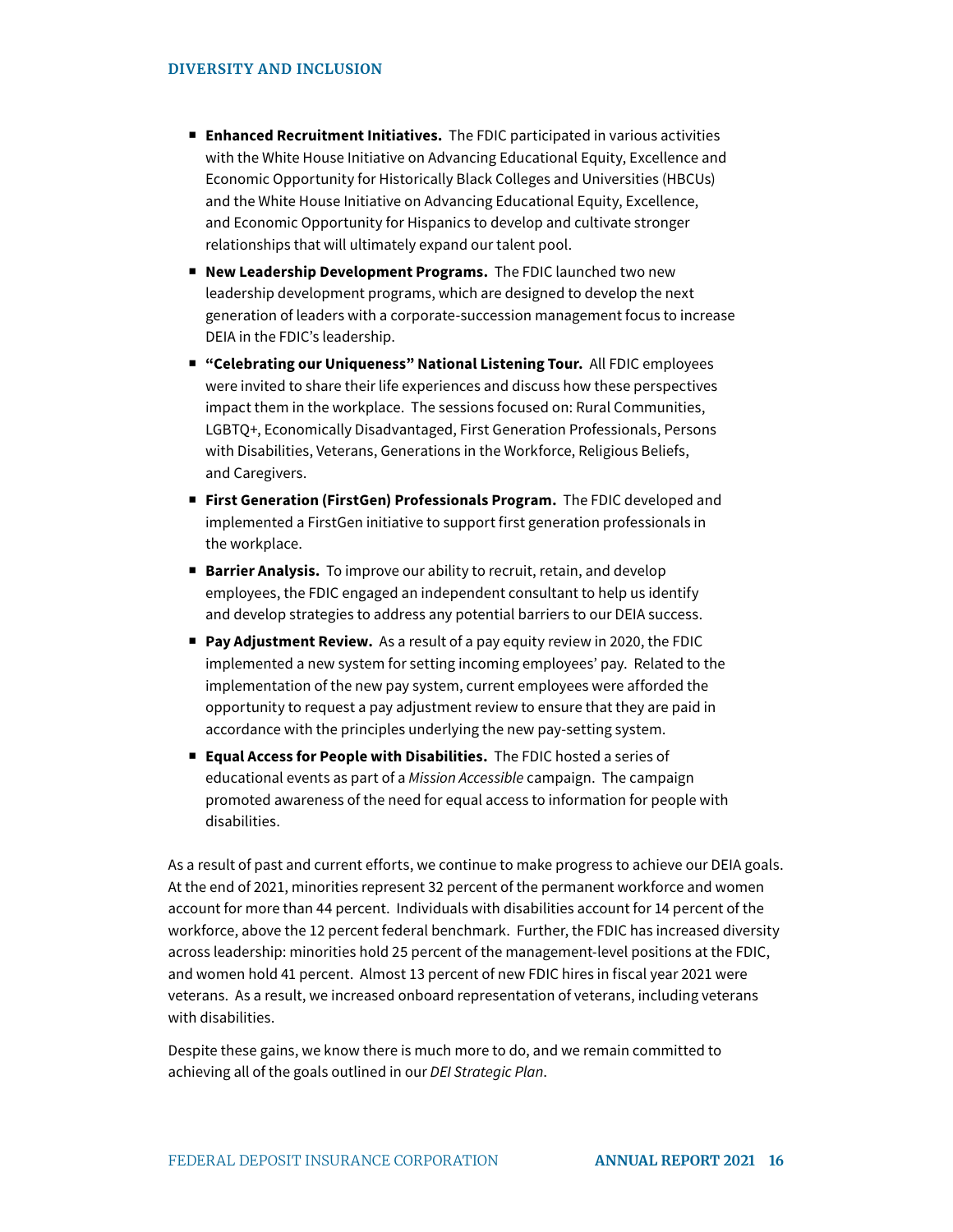- **Enhanced Recruitment Initiatives.** The FDIC participated in various activities with the White House Initiative on Advancing Educational Equity, Excellence and Economic Opportunity for Historically Black Colleges and Universities (HBCUs) and the White House Initiative on Advancing Educational Equity, Excellence, and Economic Opportunity for Hispanics to develop and cultivate stronger relationships that will ultimately expand our talent pool.
- **New Leadership Development Programs.** The FDIC launched two new leadership development programs, which are designed to develop the next generation of leaders with a corporate-succession management focus to increase DEIA in the FDIC's leadership.
- **"Celebrating our Uniqueness" National Listening Tour.** All FDIC employees were invited to share their life experiences and discuss how these perspectives impact them in the workplace. The sessions focused on: Rural Communities, LGBTQ+, Economically Disadvantaged, First Generation Professionals, Persons with Disabilities, Veterans, Generations in the Workforce, Religious Beliefs, and Caregivers.
- **First Generation (FirstGen) Professionals Program.** The FDIC developed and implemented a FirstGen initiative to support first generation professionals in the workplace.
- **Barrier Analysis.** To improve our ability to recruit, retain, and develop employees, the FDIC engaged an independent consultant to help us identify and develop strategies to address any potential barriers to our DEIA success.
- **Pay Adjustment Review.** As a result of a pay equity review in 2020, the FDIC implemented a new system for setting incoming employees' pay. Related to the implementation of the new pay system, current employees were afforded the opportunity to request a pay adjustment review to ensure that they are paid in accordance with the principles underlying the new pay-setting system.
- **Equal Access for People with Disabilities.** The FDIC hosted a series of educational events as part of a Mission Accessible campaign. The campaign promoted awareness of the need for equal access to information for people with disabilities.

As a result of past and current efforts, we continue to make progress to achieve our DEIA goals. At the end of 2021, minorities represent 32 percent of the permanent workforce and women account for more than 44 percent. Individuals with disabilities account for 14 percent of the workforce, above the 12 percent federal benchmark. Further, the FDIC has increased diversity across leadership: minorities hold 25 percent of the management-level positions at the FDIC, and women hold 41 percent. Almost 13 percent of new FDIC hires in fiscal year 2021 were veterans. As a result, we increased onboard representation of veterans, including veterans with disabilities.

Despite these gains, we know there is much more to do, and we remain committed to achieving all of the goals outlined in our DEI Strategic Plan.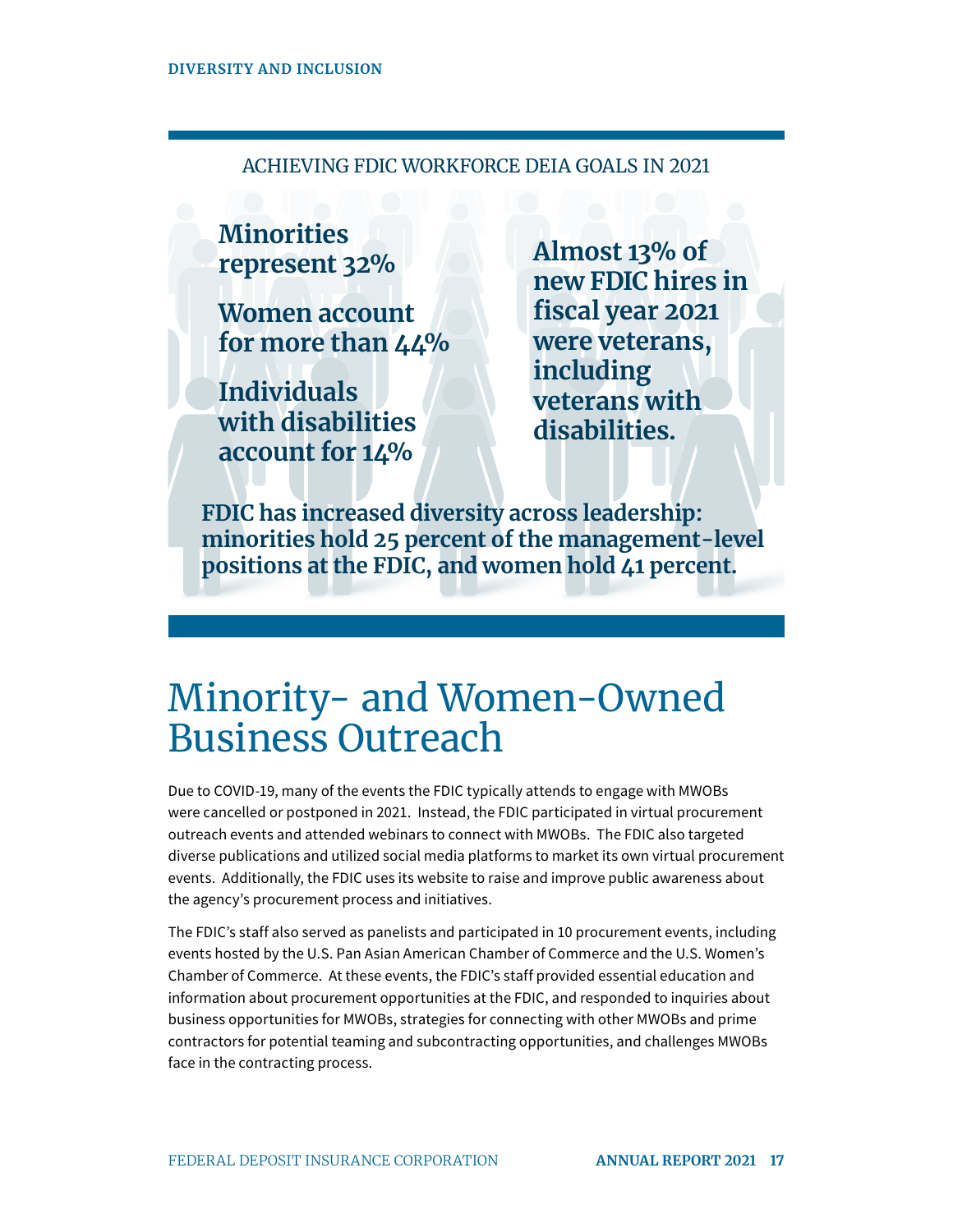#### ACHIEVING FDIC WORKFORCE DEIA GOALS IN 2021

**Minorities represent 32%** 

 **Women account for more than 44%** 

**Individuals with disabilities account for 14%** 

**Almost 13% of new FDIC hires in fiscal year 2021 were veterans, including veterans with disabilities.** 

**FDIC has increased diversity across leadership: minorities hold 25 percent of the management-level positions at the FDIC, and women hold 41 percent.** 

### Minority- and Women-Owned Business Outreach

Due to COVID-19, many of the events the FDIC typically attends to engage with MWOBs were cancelled or postponed in 2021. Instead, the FDIC participated in virtual procurement outreach events and attended webinars to connect with MWOBs. The FDIC also targeted diverse publications and utilized social media platforms to market its own virtual procurement events. Additionally, the FDIC uses its website to raise and improve public awareness about the agency's procurement process and initiatives.

The FDIC's staff also served as panelists and participated in 10 procurement events, including events hosted by the U.S. Pan Asian American Chamber of Commerce and the U.S. Women's Chamber of Commerce. At these events, the FDIC's staff provided essential education and information about procurement opportunities at the FDIC, and responded to inquiries about business opportunities for MWOBs, strategies for connecting with other MWOBs and prime contractors for potential teaming and subcontracting opportunities, and challenges MWOBs face in the contracting process.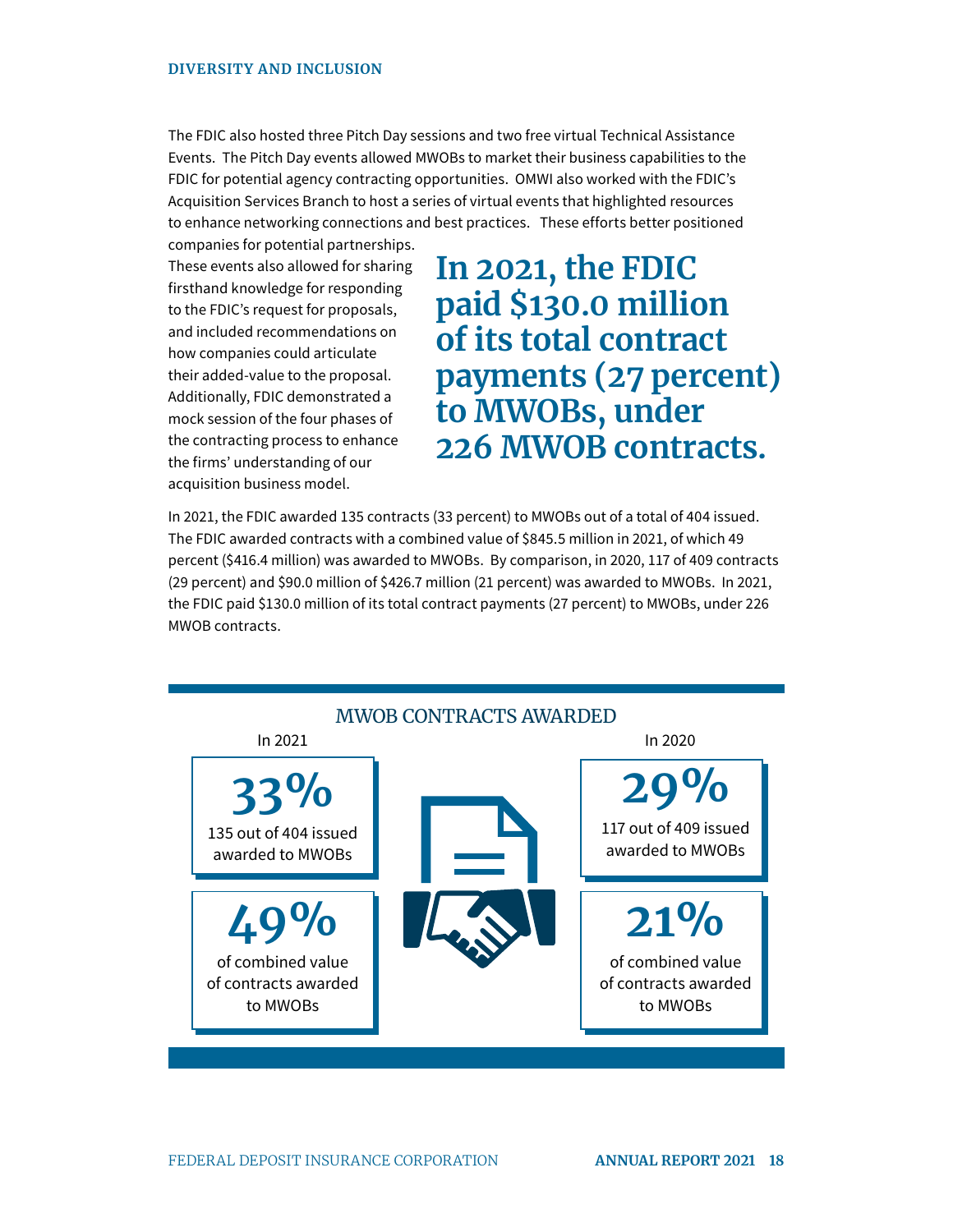The FDIC also hosted three Pitch Day sessions and two free virtual Technical Assistance Events. The Pitch Day events allowed MWOBs to market their business capabilities to the FDIC for potential agency contracting opportunities. OMWI also worked with the FDIC's Acquisition Services Branch to host a series of virtual events that highlighted resources to enhance networking connections and best practices. These efforts better positioned

companies for potential partnerships. acquisition business model.

These events also allowed for sharing **In 2021, the FDIC** firsthand knowledge for responding to the FDIC's request for proposals, **paid \$130.0 million** and included recommendations on **of its total contract** their added-value to the proposal. **payments (27 percent)** Additionally, FDIC demonstrated a mock session of the four phases of **to MWOBs, under**  the contracting process to enhance **226 MWOB contracts.** the firms' understanding of our

In 2021, the FDIC awarded 135 contracts (33 percent) to MWOBs out of a total of 404 issued. The FDIC awarded contracts with a combined value of \$845.5 million in 2021, of which 49 percent (\$416.4 million) was awarded to MWOBs. By comparison, in 2020, 117 of 409 contracts (29 percent) and \$90.0 million of \$426.7 million (21 percent) was awarded to MWOBs. In 2021, the FDIC paid \$130.0 million of its total contract payments (27 percent) to MWOBs, under 226 MWOB contracts.

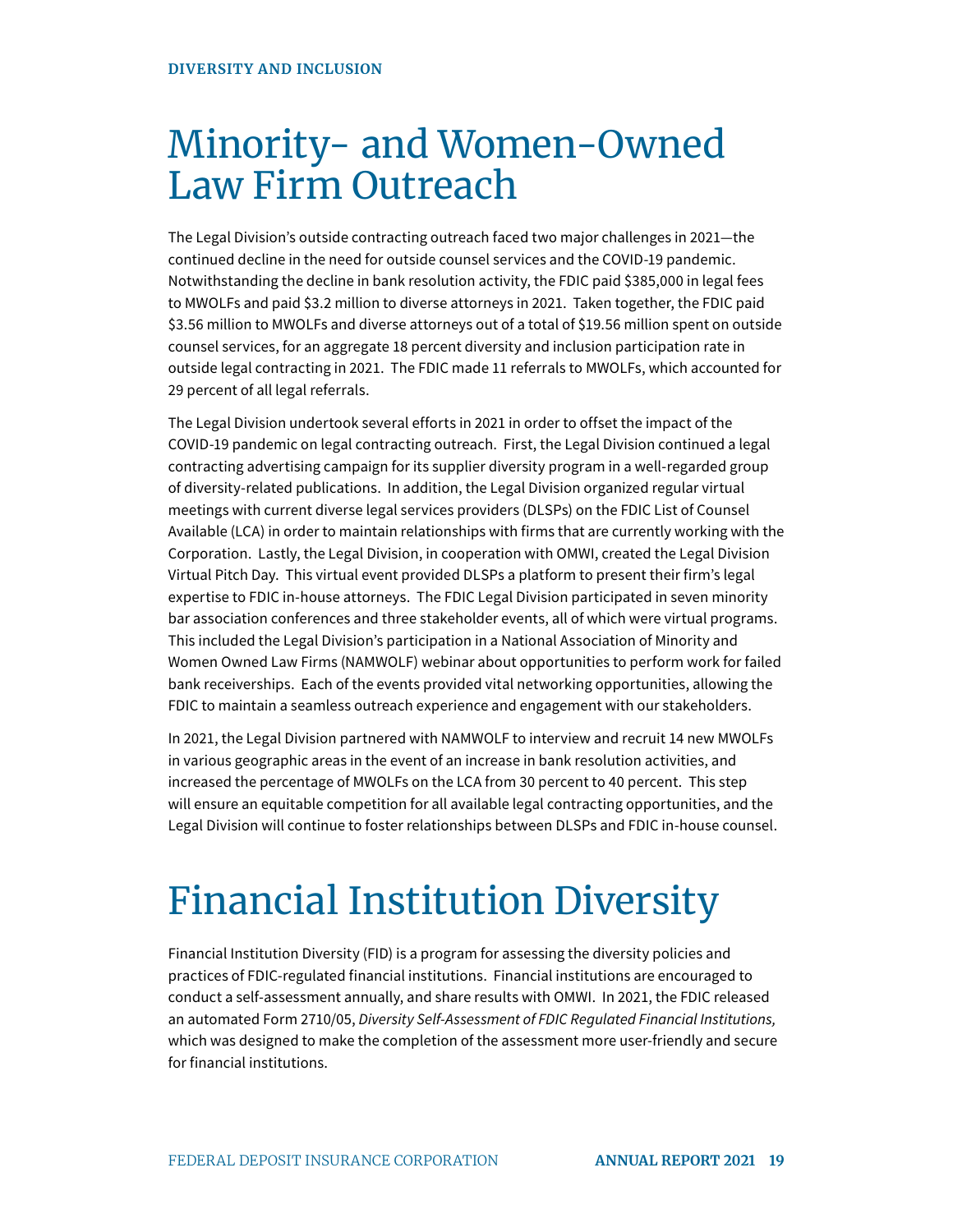## Minority- and Women-Owned Law Firm Outreach

The Legal Division's outside contracting outreach faced two major challenges in 2021—the continued decline in the need for outside counsel services and the COVID-19 pandemic. Notwithstanding the decline in bank resolution activity, the FDIC paid \$385,000 in legal fees to MWOLFs and paid \$3.2 million to diverse attorneys in 2021. Taken together, the FDIC paid \$3.56 million to MWOLFs and diverse attorneys out of a total of \$19.56 million spent on outside counsel services, for an aggregate 18 percent diversity and inclusion participation rate in outside legal contracting in 2021. The FDIC made 11 referrals to MWOLFs, which accounted for 29 percent of all legal referrals.

The Legal Division undertook several efforts in 2021 in order to offset the impact of the COVID-19 pandemic on legal contracting outreach. First, the Legal Division continued a legal contracting advertising campaign for its supplier diversity program in a well-regarded group of diversity-related publications. In addition, the Legal Division organized regular virtual meetings with current diverse legal services providers (DLSPs) on the FDIC List of Counsel Available (LCA) in order to maintain relationships with firms that are currently working with the Corporation. Lastly, the Legal Division, in cooperation with OMWI, created the Legal Division Virtual Pitch Day. This virtual event provided DLSPs a platform to present their firm's legal expertise to FDIC in-house attorneys. The FDIC Legal Division participated in seven minority bar association conferences and three stakeholder events, all of which were virtual programs. This included the Legal Division's participation in a National Association of Minority and Women Owned Law Firms (NAMWOLF) webinar about opportunities to perform work for failed bank receiverships. Each of the events provided vital networking opportunities, allowing the FDIC to maintain a seamless outreach experience and engagement with our stakeholders.

In 2021, the Legal Division partnered with NAMWOLF to interview and recruit 14 new MWOLFs in various geographic areas in the event of an increase in bank resolution activities, and increased the percentage of MWOLFs on the LCA from 30 percent to 40 percent. This step will ensure an equitable competition for all available legal contracting opportunities, and the Legal Division will continue to foster relationships between DLSPs and FDIC in-house counsel.

## Financial Institution Diversity

Financial Institution Diversity (FID) is a program for assessing the diversity policies and practices of FDIC-regulated financial institutions. Financial institutions are encouraged to conduct a self-assessment annually, and share results with OMWI. In 2021, the FDIC released an automated Form 2710/05, Diversity Self-Assessment of FDIC Regulated Financial Institutions, which was designed to make the completion of the assessment more user-friendly and secure for financial institutions.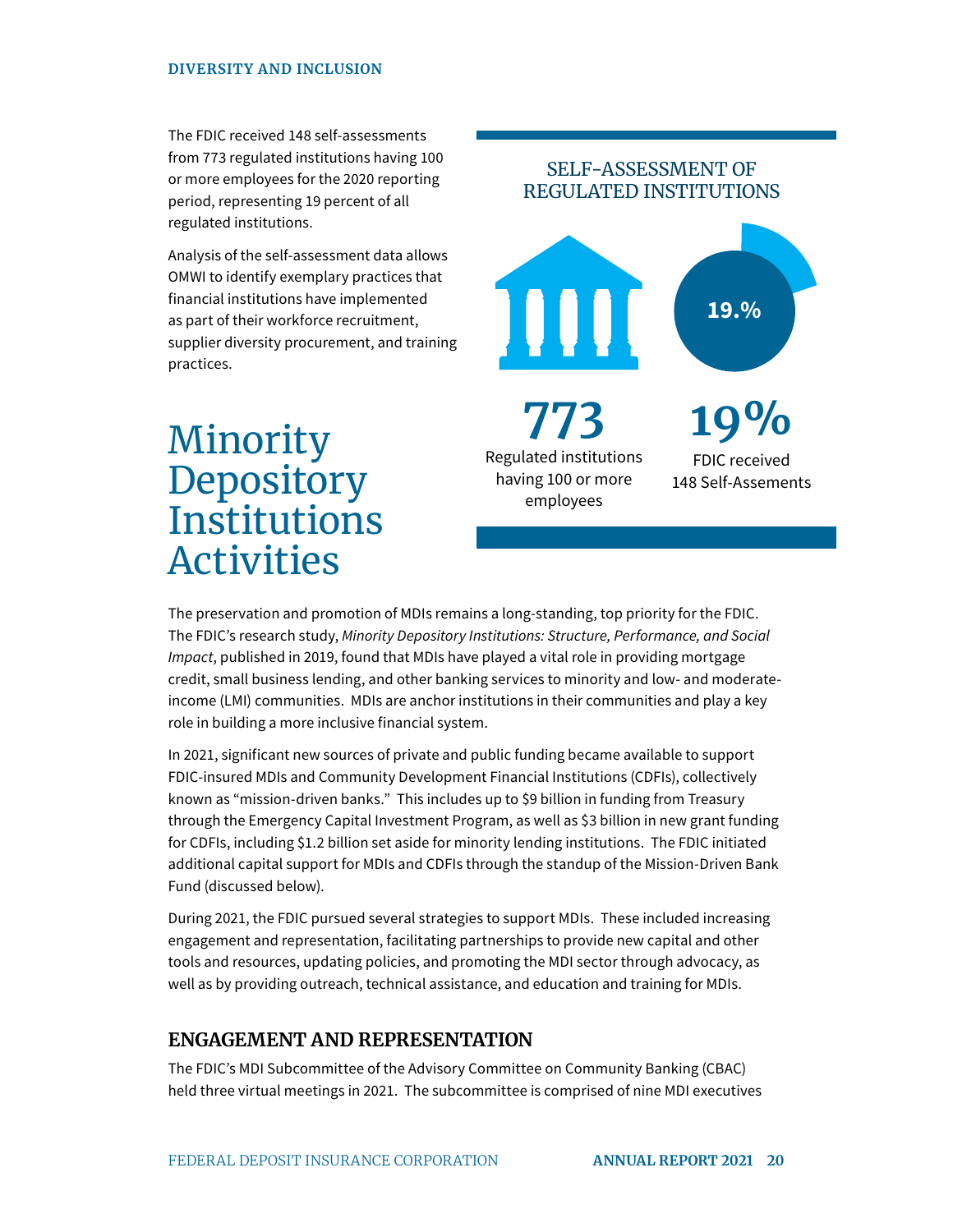The FDIC received 148 self-assessments from 773 regulated institutions having 100<br>or more employees for the 2020 reporting<br>period, representing 19 percent of all REGULATED INSTITUTIONS regulated institutions.

Analysis of the self-assessment data allows OMWI to identify exemplary practices that financial institutions have implemented as part of their workforce recruitment, supplier diversity procurement, and training practices.

# **Institutions** Activities

Regulated institutions **19.%**  Minority **773** 19% **Depository** having 100 or more 148 Self-Assements

The preservation and promotion of MDIs remains a long-standing, top priority for the FDIC. The FDIC's research study, Minority Depository Institutions: Structure, Performance, and Social Impact, published in 2019, found that MDIs have played a vital role in providing mortgage credit, small business lending, and other banking services to minority and low- and moderateincome (LMI) communities. MDIs are anchor institutions in their communities and play a key role in building a more inclusive financial system.

In 2021, significant new sources of private and public funding became available to support FDIC-insured MDIs and Community Development Financial Institutions (CDFIs), collectively known as "mission-driven banks." This includes up to \$9 billion in funding from Treasury through the Emergency Capital Investment Program, as well as \$3 billion in new grant funding for CDFIs, including \$1.2 billion set aside for minority lending institutions. The FDIC initiated additional capital support for MDIs and CDFIs through the standup of the Mission-Driven Bank Fund (discussed below).

During 2021, the FDIC pursued several strategies to support MDIs. These included increasing engagement and representation, facilitating partnerships to provide new capital and other tools and resources, updating policies, and promoting the MDI sector through advocacy, as well as by providing outreach, technical assistance, and education and training for MDIs.

#### **ENGAGEMENT AND REPRESENTATION**

The FDIC's MDI Subcommittee of the Advisory Committee on Community Banking (CBAC) held three virtual meetings in 2021. The subcommittee is comprised of nine MDI executives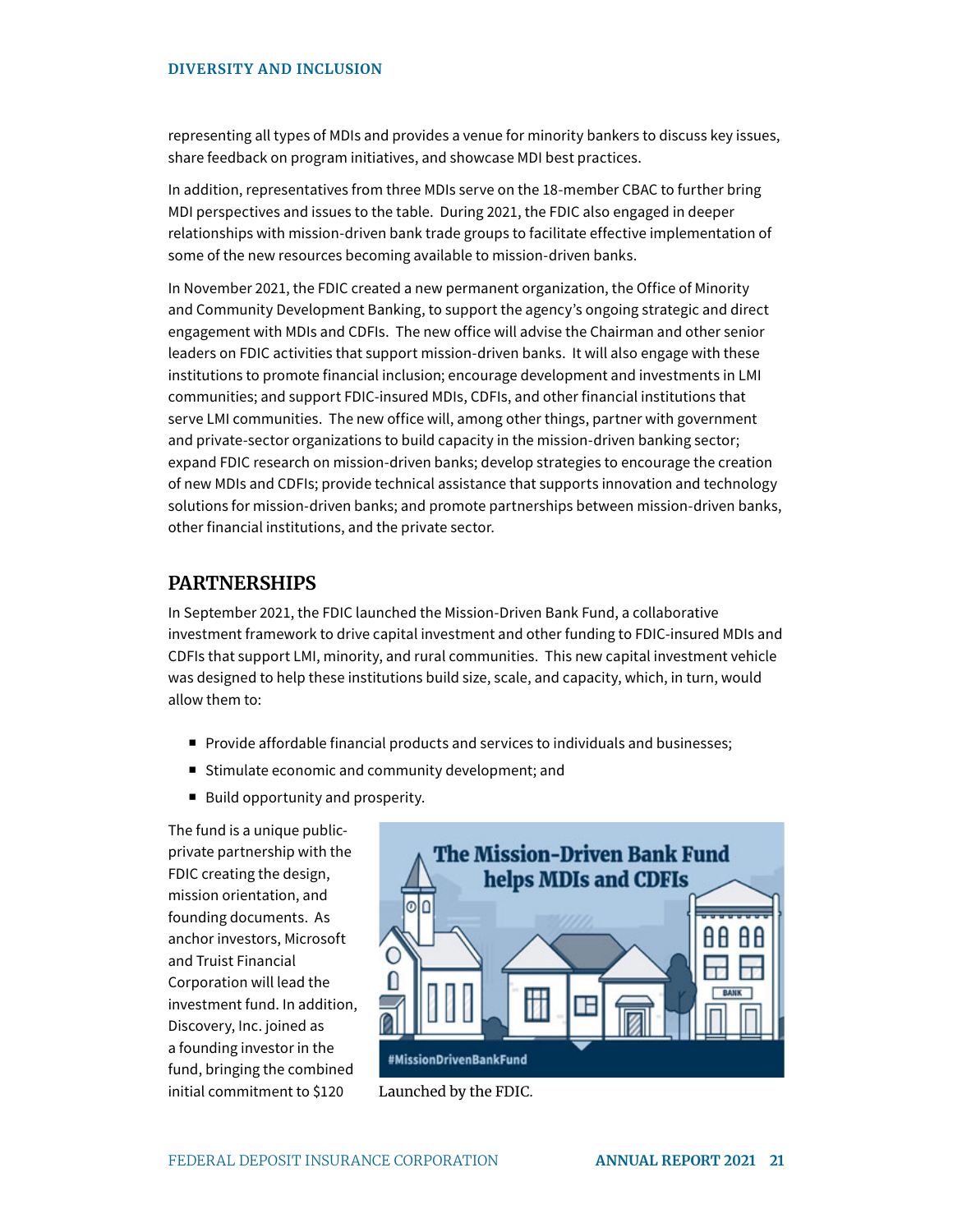representing all types of MDIs and provides a venue for minority bankers to discuss key issues, share feedback on program initiatives, and showcase MDI best practices.

In addition, representatives from three MDIs serve on the 18-member CBAC to further bring MDI perspectives and issues to the table. During 2021, the FDIC also engaged in deeper relationships with mission-driven bank trade groups to facilitate effective implementation of some of the new resources becoming available to mission-driven banks.

In November 2021, the FDIC created a new permanent organization, the Office of Minority and Community Development Banking, to support the agency's ongoing strategic and direct engagement with MDIs and CDFIs. The new office will advise the Chairman and other senior leaders on FDIC activities that support mission-driven banks. It will also engage with these institutions to promote financial inclusion; encourage development and investments in LMI communities; and support FDIC-insured MDIs, CDFIs, and other financial institutions that serve LMI communities. The new office will, among other things, partner with government and private-sector organizations to build capacity in the mission-driven banking sector; expand FDIC research on mission-driven banks; develop strategies to encourage the creation of new MDIs and CDFIs; provide technical assistance that supports innovation and technology solutions for mission-driven banks; and promote partnerships between mission-driven banks, other financial institutions, and the private sector.

#### **PARTNERSHIPS**

In September 2021, the FDIC launched the Mission-Driven Bank Fund, a collaborative investment framework to drive capital investment and other funding to FDIC-insured MDIs and CDFIs that support LMI, minority, and rural communities. This new capital investment vehicle was designed to help these institutions build size, scale, and capacity, which, in turn, would allow them to:

- Provide affordable financial products and services to individuals and businesses;
- Stimulate economic and community development; and
- Build opportunity and prosperity.

The fund is a unique publicprivate partnership with the FDIC creating the design, mission orientation, and founding documents. As anchor investors, Microsoft and Truist Financial Corporation will lead the investment fund. In addition, Discovery, Inc. joined as a founding investor in the fund, bringing the combined initial commitment to \$120 Launched by the FDIC.

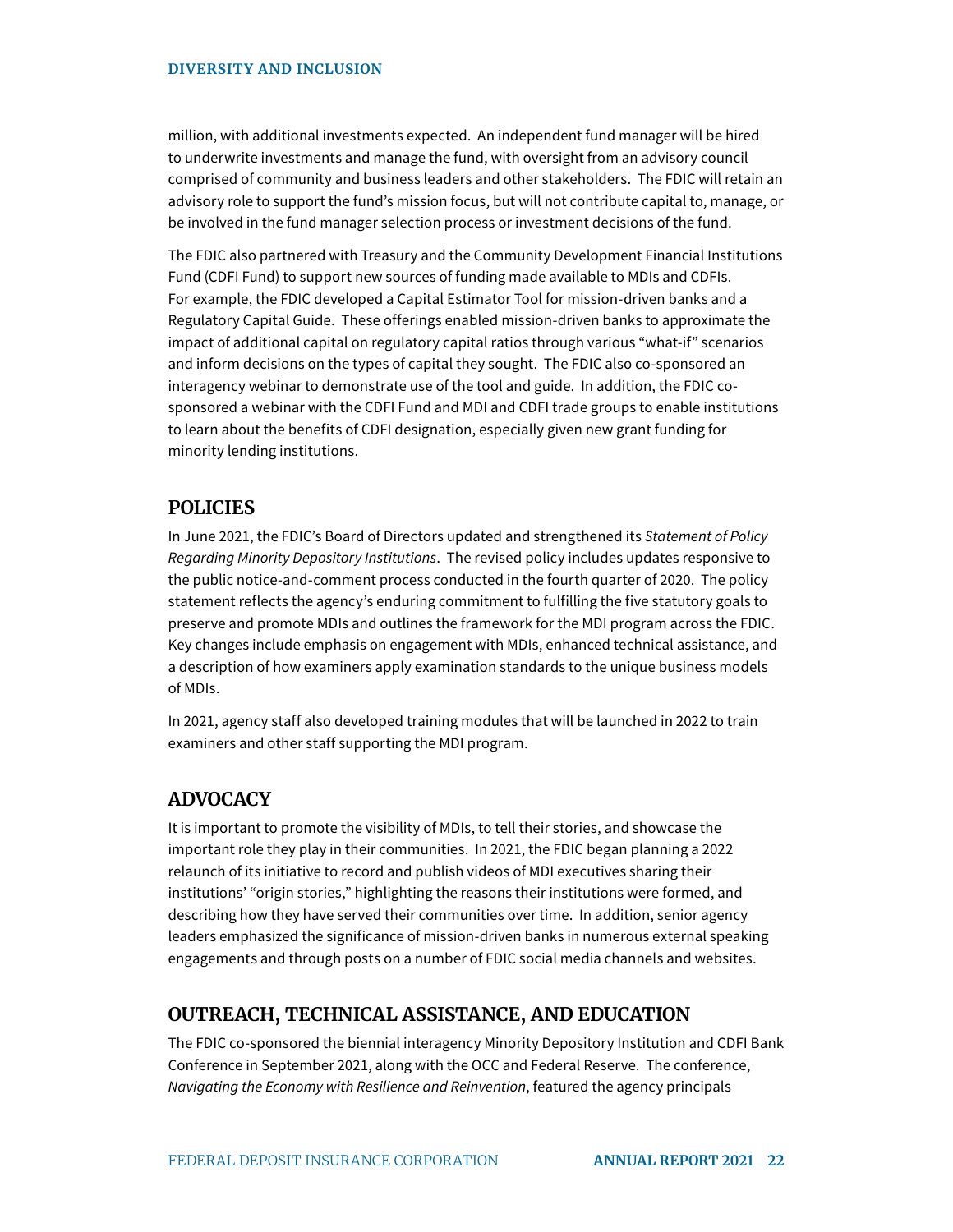million, with additional investments expected. An independent fund manager will be hired to underwrite investments and manage the fund, with oversight from an advisory council comprised of community and business leaders and other stakeholders. The FDIC will retain an advisory role to support the fund's mission focus, but will not contribute capital to, manage, or be involved in the fund manager selection process or investment decisions of the fund.

The FDIC also partnered with Treasury and the Community Development Financial Institutions Fund (CDFI Fund) to support new sources of funding made available to MDIs and CDFIs. For example, the FDIC developed a Capital Estimator Tool for mission-driven banks and a Regulatory Capital Guide. These offerings enabled mission-driven banks to approximate the impact of additional capital on regulatory capital ratios through various "what-if" scenarios and inform decisions on the types of capital they sought. The FDIC also co-sponsored an interagency webinar to demonstrate use of the tool and guide. In addition, the FDIC cosponsored a webinar with the CDFI Fund and MDI and CDFI trade groups to enable institutions to learn about the benefits of CDFI designation, especially given new grant funding for minority lending institutions.

#### **POLICIES**

In June 2021, the FDIC's Board of Directors updated and strengthened its Statement of Policy Regarding Minority Depository Institutions. The revised policy includes updates responsive to the public notice-and-comment process conducted in the fourth quarter of 2020. The policy statement reflects the agency's enduring commitment to fulfilling the five statutory goals to preserve and promote MDIs and outlines the framework for the MDI program across the FDIC. Key changes include emphasis on engagement with MDIs, enhanced technical assistance, and a description of how examiners apply examination standards to the unique business models of MDIs.

In 2021, agency staff also developed training modules that will be launched in 2022 to train examiners and other staff supporting the MDI program.

#### **ADVOCACY**

It is important to promote the visibility of MDIs, to tell their stories, and showcase the important role they play in their communities. In 2021, the FDIC began planning a 2022 relaunch of its initiative to record and publish videos of MDI executives sharing their institutions' "origin stories," highlighting the reasons their institutions were formed, and describing how they have served their communities over time. In addition, senior agency leaders emphasized the significance of mission-driven banks in numerous external speaking engagements and through posts on a number of FDIC social media channels and websites.

#### **OUTREACH, TECHNICAL ASSISTANCE, AND EDUCATION**

The FDIC co-sponsored the biennial interagency Minority Depository Institution and CDFI Bank Conference in September 2021, along with the OCC and Federal Reserve. The conference, Navigating the Economy with Resilience and Reinvention, featured the agency principals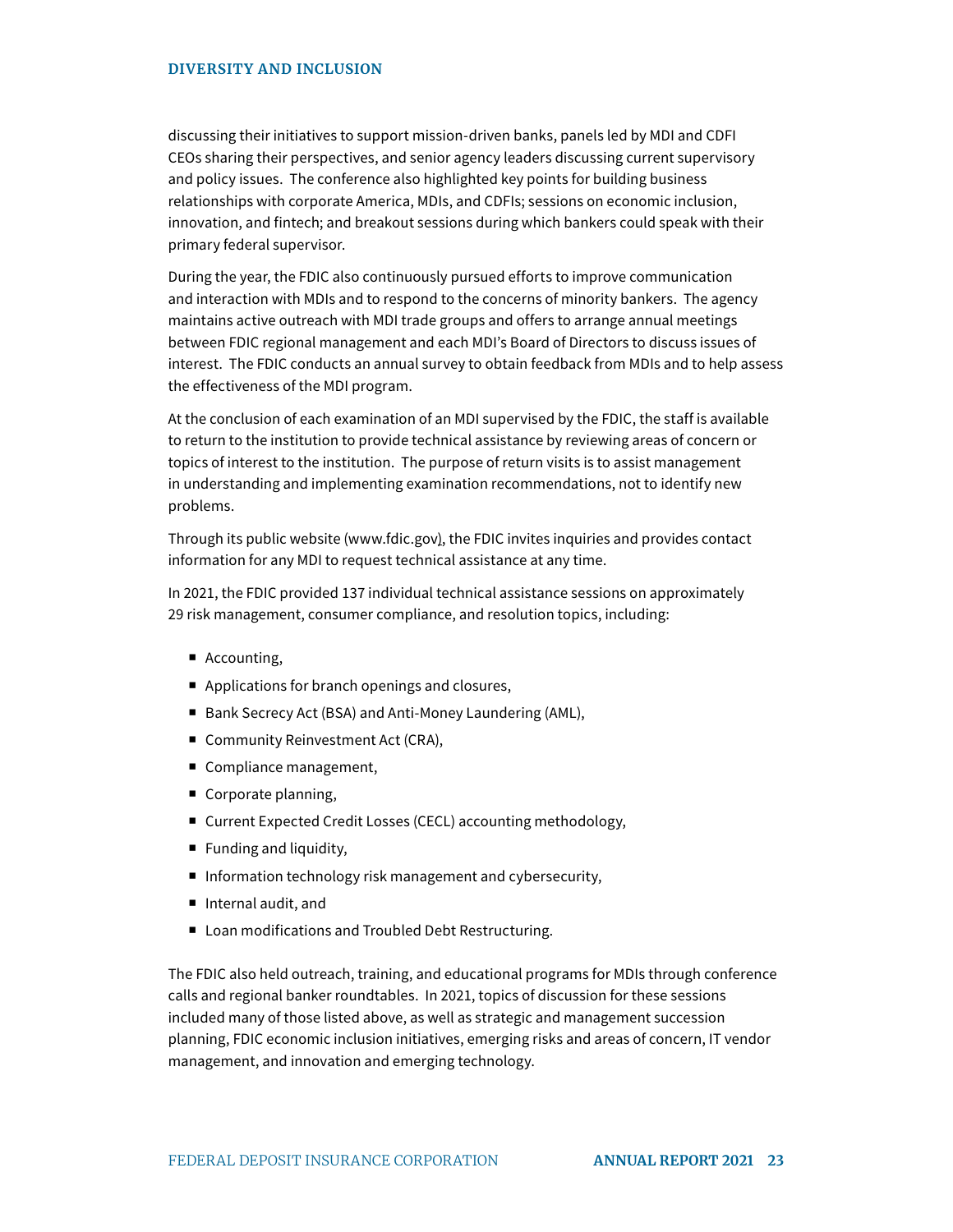discussing their initiatives to support mission-driven banks, panels led by MDI and CDFI CEOs sharing their perspectives, and senior agency leaders discussing current supervisory and policy issues. The conference also highlighted key points for building business relationships with corporate America, MDIs, and CDFIs; sessions on economic inclusion, innovation, and fintech; and breakout sessions during which bankers could speak with their primary federal supervisor.

During the year, the FDIC also continuously pursued efforts to improve communication and interaction with MDIs and to respond to the concerns of minority bankers. The agency maintains active outreach with MDI trade groups and offers to arrange annual meetings between FDIC regional management and each MDI's Board of Directors to discuss issues of interest. The FDIC conducts an annual survey to obtain feedback from MDIs and to help assess the effectiveness of the MDI program.

At the conclusion of each examination of an MDI supervised by the FDIC, the staff is available to return to the institution to provide technical assistance by reviewing areas of concern or topics of interest to the institution. The purpose of return visits is to assist management in understanding and implementing examination recommendations, not to identify new problems.

Through its public website [\(www.fdic.gov\)](http://www.fdic.gov), the FDIC invites inquiries and provides contact information for any MDI to request technical assistance at any time.

In 2021, the FDIC provided 137 individual technical assistance sessions on approximately 29 risk management, consumer compliance, and resolution topics, including:

- Accounting,
- Applications for branch openings and closures,
- Bank Secrecy Act (BSA) and Anti-Money Laundering (AML),
- Community Reinvestment Act (CRA),
- Compliance management,
- Corporate planning,
- Current Expected Credit Losses (CECL) accounting methodology,
- $\blacksquare$  Funding and liquidity,
- Information technology risk management and cybersecurity,
- Internal audit, and
- Loan modifications and Troubled Debt Restructuring.

The FDIC also held outreach, training, and educational programs for MDIs through conference calls and regional banker roundtables. In 2021, topics of discussion for these sessions included many of those listed above, as well as strategic and management succession planning, FDIC economic inclusion initiatives, emerging risks and areas of concern, IT vendor management, and innovation and emerging technology.